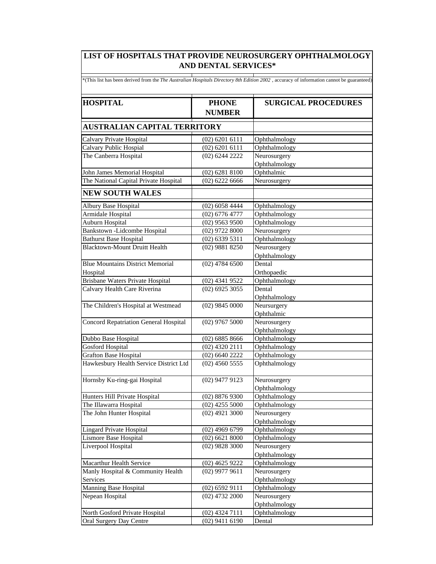## **LIST OF HOSPITALS THAT PROVIDE NEUROSURGERY OPHTHALMOLOGY AND DENTAL SERVICES\***

| *(This list has been derived from the The Australian Hospitals Directory 8th Edition 2002, accuracy of information cannot be guaranteed) |                                      |                                |  |  |
|------------------------------------------------------------------------------------------------------------------------------------------|--------------------------------------|--------------------------------|--|--|
| <b>HOSPITAL</b>                                                                                                                          | <b>PHONE</b><br><b>NUMBER</b>        | <b>SURGICAL PROCEDURES</b>     |  |  |
| <b>AUSTRALIAN CAPITAL TERRITORY</b>                                                                                                      |                                      |                                |  |  |
| Calvary Private Hospital                                                                                                                 | $(02)$ 6201 6111                     | Ophthalmology                  |  |  |
| Calvary Public Hospial                                                                                                                   | $(02)$ 6201 6111                     | Ophthalmology                  |  |  |
| The Canberra Hospital                                                                                                                    | (02) 6244 2222                       | Neurosurgery                   |  |  |
|                                                                                                                                          |                                      | Ophthalmology                  |  |  |
| John James Memorial Hospital                                                                                                             | $(02)$ 6281 8100                     | Ophthalmic                     |  |  |
| The National Capital Private Hospital                                                                                                    | $(02)$ 6222 6666                     | Neurosurgery                   |  |  |
| <b>NEW SOUTH WALES</b>                                                                                                                   |                                      |                                |  |  |
|                                                                                                                                          |                                      |                                |  |  |
| Albury Base Hospital<br>Armidale Hospital                                                                                                | $(02)$ 6058 4444<br>$(02)$ 6776 4777 | Ophthalmology<br>Ophthalmology |  |  |
| Auburn Hospital                                                                                                                          | $(02)$ 9563 9500                     | Ophthalmology                  |  |  |
| Bankstown - Lidcombe Hospital                                                                                                            | $(02)$ 9722 8000                     | Neurosurgery                   |  |  |
| <b>Bathurst Base Hospital</b>                                                                                                            | $(02)$ 6339 5311                     | Ophthalmology                  |  |  |
| <b>Blacktown-Mount Druitt Health</b>                                                                                                     | $(02)$ 9881 8250                     | Neurosurgery                   |  |  |
|                                                                                                                                          |                                      | Ophthalmology                  |  |  |
| <b>Blue Mountains District Memorial</b>                                                                                                  | $(02)$ 4784 6500                     | Dental                         |  |  |
| Hospital                                                                                                                                 |                                      | Orthopaedic                    |  |  |
| <b>Brisbane Waters Private Hospital</b>                                                                                                  | (02) 4341 9522                       | Ophthalmology                  |  |  |
| Calvary Health Care Riverina                                                                                                             | $(02)$ 6925 3055                     | Dental                         |  |  |
|                                                                                                                                          |                                      | Ophthalmology                  |  |  |
| The Children's Hospital at Westmead                                                                                                      | $(02)$ 9845 0000                     | Neursurgery                    |  |  |
|                                                                                                                                          |                                      | Ophthalmic                     |  |  |
| <b>Concord Repatriation General Hospital</b>                                                                                             | $(02)$ 9767 5000                     | Neurosurgery                   |  |  |
|                                                                                                                                          |                                      | Ophthalmology                  |  |  |
| Dubbo Base Hospital                                                                                                                      | $(02)$ 6885 8666                     | Ophthalmology                  |  |  |
| <b>Gosford Hospital</b>                                                                                                                  | $(02)$ 4320 2111                     | Ophthalmology                  |  |  |
| Grafton Base Hospital                                                                                                                    | $(02)$ 6640 2222                     | Ophthalmology                  |  |  |
| Hawkesbury Health Service District Ltd                                                                                                   | $(02)$ 4560 5555                     | Ophthalmology                  |  |  |
| Hornsby Ku-ring-gai Hospital                                                                                                             | $(02)$ 9477 9123                     | Neurosurgery                   |  |  |
|                                                                                                                                          |                                      | Ophthalmology                  |  |  |
| Hunters Hill Private Hospital                                                                                                            | $(02)$ 8876 9300                     | Ophthalmology                  |  |  |
| The Illawarra Hospital                                                                                                                   | $(02)$ 4255 5000                     | Ophthalmology                  |  |  |
| The John Hunter Hospital                                                                                                                 | $(02)$ 4921 3000                     | Neurosurgery                   |  |  |
|                                                                                                                                          |                                      | Ophthalmology                  |  |  |
| <b>Lingard Private Hospital</b>                                                                                                          | $(02)$ 4969 6799                     | Ophthalmology                  |  |  |
| Lismore Base Hospital                                                                                                                    | $(02)$ 6621 8000                     | Ophthalmology                  |  |  |
| Liverpool Hospital                                                                                                                       | $(02)$ 9828 3000                     | Neurosurgery                   |  |  |
|                                                                                                                                          |                                      | Ophthalmology                  |  |  |
| Macarthur Health Service                                                                                                                 | $(02)$ 4625 9222                     | Ophthalmology                  |  |  |
| Manly Hospital & Community Health<br>Services                                                                                            | $(02)$ 9977 9611                     | Neurosurgery                   |  |  |
| Manning Base Hospital                                                                                                                    | $(02)$ 6592 9111                     | Ophthalmology<br>Ophthalmology |  |  |
| Nepean Hospital                                                                                                                          | $(02)$ 4732 2000                     | Neurosurgery                   |  |  |
|                                                                                                                                          |                                      | Ophthalmology                  |  |  |
| North Gosford Private Hospital                                                                                                           | $(02)$ 4324 7111                     | Ophthalmology                  |  |  |
| Oral Surgery Day Centre                                                                                                                  | $(02)$ 9411 6190                     | Dental                         |  |  |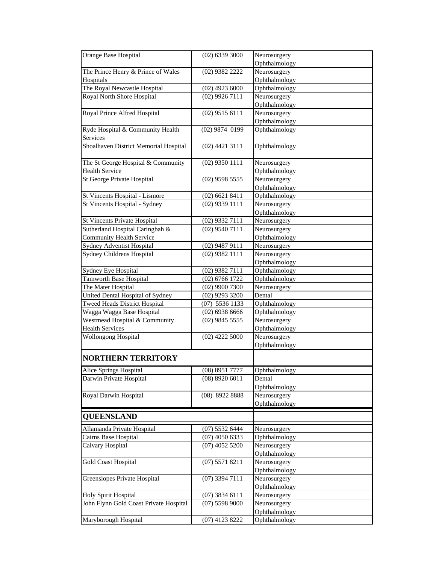| Orange Base Hospital                   | $(02)$ 6339 3000 | Neurosurgery  |
|----------------------------------------|------------------|---------------|
|                                        |                  | Ophthalmology |
| The Prince Henry & Prince of Wales     | (02) 9382 2222   | Neurosurgery  |
| Hospitals                              |                  | Ophthalmology |
| The Royal Newcastle Hospital           | $(02)$ 4923 6000 | Ophthalmology |
| Royal North Shore Hospital             | $(02)$ 9926 7111 | Neurosurgery  |
|                                        |                  | Ophthalmology |
| Royal Prince Alfred Hospital           | $(02)$ 9515 6111 | Neurosurgery  |
|                                        |                  | Ophthalmology |
| Ryde Hospital & Community Health       | $(02)$ 9874 0199 | Ophthalmology |
| Services                               |                  |               |
| Shoalhaven District Memorial Hospital  | $(02)$ 4421 3111 | Ophthalmology |
| The St George Hospital & Community     | $(02)$ 9350 1111 | Neurosurgery  |
| <b>Health Service</b>                  |                  | Ophthalmology |
| St George Private Hospital             | $(02)$ 9598 5555 | Neurosurgery  |
|                                        |                  | Ophthalmology |
| St Vincents Hospital - Lismore         | $(02)$ 6621 8411 | Ophthalmology |
| St Vincents Hospital - Sydney          | $(02)$ 9339 1111 | Neurosurgery  |
|                                        |                  | Ophthalmology |
| <b>St Vincents Private Hospital</b>    | (02) 9332 7111   | Neurosurgery  |
| Sutherland Hospital Caringbah &        | $(02)$ 9540 7111 | Neurosurgery  |
| <b>Community Health Service</b>        |                  | Ophthalmology |
| <b>Sydney Adventist Hospital</b>       | $(02)$ 9487 9111 | Neurosurgery  |
| Sydney Childrens Hospital              | $(02)$ 9382 1111 | Neurosurgery  |
|                                        |                  | Ophthalmology |
| Sydney Eye Hospital                    | $(02)$ 9382 7111 | Ophthalmology |
| Tamworth Base Hospital                 | $(02)$ 6766 1722 | Ophthalmology |
| The Mater Hospital                     | $(02)$ 9900 7300 | Neurosurgery  |
| United Dental Hospital of Sydney       | $(02)$ 9293 3200 | Dental        |
| <b>Tweed Heads District Hospital</b>   | $(07)$ 5536 1133 | Ophthalmology |
| Wagga Wagga Base Hospital              | $(02)$ 6938 6666 | Ophthalmology |
| Westmead Hospital & Community          | $(02)$ 9845 5555 | Neurosurgery  |
| <b>Health Services</b>                 |                  | Ophthalmology |
| Wollongong Hospital                    | $(02)$ 4222 5000 | Neurosurgery  |
|                                        |                  | Ophthalmology |
| <b>NORTHERN TERRITORY</b>              |                  |               |
| Alice Springs Hospital                 | (08) 8951 7777   | Ophthalmology |
| Darwin Private Hospital                | $(08)$ 8920 6011 | Dental        |
|                                        |                  | Ophthalmology |
| Royal Darwin Hospital                  | (08) 8922 8888   | Neurosurgery  |
|                                        |                  | Ophthalmology |
| <b>QUEENSLAND</b>                      |                  |               |
| Allamanda Private Hospital             | $(07)$ 5532 6444 | Neurosurgery  |
| Cairns Base Hospital                   | $(07)$ 4050 6333 | Ophthalmology |
| Calvary Hospital                       | $(07)$ 4052 5200 | Neurosurgery  |
|                                        |                  | Ophthalmology |
| <b>Gold Coast Hospital</b>             | $(07)$ 5571 8211 | Neurosurgery  |
|                                        |                  | Ophthalmology |
| Greenslopes Private Hospital           | $(07)$ 3394 7111 | Neurosurgery  |
|                                        |                  | Ophthalmology |
| Holy Spirit Hospital                   | $(07)$ 3834 6111 | Neurosurgery  |
| John Flynn Gold Coast Private Hospital | $(07)$ 5598 9000 | Neurosurgery  |
|                                        |                  | Ophthalmology |
| Maryborough Hospital                   | $(07)$ 4123 8222 | Ophthalmology |
|                                        |                  |               |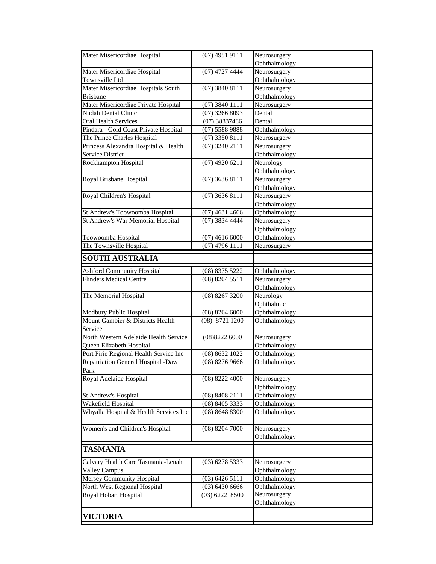| Mater Misericordiae Hospital           | $(07)$ 4951 9111 | Neurosurgery                   |
|----------------------------------------|------------------|--------------------------------|
|                                        |                  | Ophthalmology                  |
| Mater Misericordiae Hospital           | $(07)$ 4727 4444 | Neurosurgery                   |
| Townsville Ltd                         |                  | Ophthalmology                  |
| Mater Misericordiae Hospitals South    | $(07)$ 3840 8111 | Neurosurgery                   |
| <b>Brisbane</b>                        |                  | Ophthalmology                  |
| Mater Misericordiae Private Hospital   | $(07)$ 3840 1111 | Neurosurgery                   |
| <b>Nudah Dental Clinic</b>             | $(07)$ 3266 8093 | Dental                         |
| <b>Oral Health Services</b>            | $(07)$ 38837486  | Dental                         |
| Pindara - Gold Coast Private Hospital  | (07) 5588 9888   | Ophthalmology                  |
| The Prince Charles Hospital            | $(07)$ 3350 8111 | Neurosurgery                   |
| Princess Alexandra Hospital & Health   | $(07)$ 3240 2111 | Neurosurgery                   |
| <b>Service District</b>                |                  | Ophthalmology                  |
| Rockhampton Hospital                   | $(07)$ 4920 6211 | Neurology                      |
| Royal Brisbane Hospital                | $(07)$ 3636 8111 | Ophthalmology<br>Neurosurgery  |
|                                        |                  | Ophthalmology                  |
| Royal Children's Hospital              | $(07)$ 3636 8111 | Neurosurgery                   |
|                                        |                  | Ophthalmology                  |
| St Andrew's Toowoomba Hospital         | $(07)$ 4631 4666 | Ophthalmology                  |
| St Andrew's War Memorial Hospital      | (07) 3834 4444   | Neurosurgery                   |
|                                        |                  | Ophthalmology                  |
| Toowoomba Hospital                     | $(07)$ 4616 6000 | Ophthalmology                  |
| The Townsville Hospital                | $(07)$ 4796 1111 | Neurosurgery                   |
|                                        |                  |                                |
| <b>SOUTH AUSTRALIA</b>                 |                  |                                |
| <b>Ashford Community Hospital</b>      | (08) 8375 5222   | Ophthalmology                  |
| <b>Flinders Medical Centre</b>         | (08) 8204 5511   | Neurosurgery                   |
|                                        |                  | Ophthalmology                  |
| The Memorial Hospital                  | (08) 8267 3200   | Neurology                      |
|                                        |                  | Ophthalmic                     |
| Modbury Public Hospital                | $(08)$ 8264 6000 | Ophthalmology                  |
| Mount Gambier & Districts Health       | (08) 8721 1200   | Ophthalmology                  |
| Service                                |                  |                                |
| North Western Adelaide Health Service  | (08)82226000     | Neurosurgery                   |
| Queen Elizabeth Hospital               |                  | Ophthalmology                  |
| Port Pirie Regional Health Service Inc | (08) 8632 1022   | Ophthalmology                  |
| Repatriation General Hospital -Daw     | $(08)$ 8276 9666 | Ophthalmology                  |
| Park                                   |                  |                                |
| Royal Adelaide Hospital                | $(08)$ 8222 4000 | Neurosurgery                   |
| St Andrew's Hospital                   | (08) 8408 2111   | Ophthalmology<br>Ophthalmology |
| Wakefield Hospital                     | (08) 8405 3333   | Ophthalmology                  |
| Whyalla Hospital & Health Services Inc | (08) 8648 8300   | Ophthalmology                  |
|                                        |                  |                                |
| Women's and Children's Hospital        | $(08)$ 8204 7000 | Neurosurgery                   |
|                                        |                  | Ophthalmology                  |
|                                        |                  |                                |
| <b>TASMANIA</b>                        |                  |                                |
| Calvary Health Care Tasmania-Lenah     | (03) 6278 5333   | Neurosurgery                   |
| <b>Valley Campus</b>                   |                  | Ophthalmology                  |
| Mersey Community Hospital              | $(03)$ 6426 5111 | Ophthalmology                  |
| North West Regional Hospital           | (03) 6430 6666   | Ophthalmology                  |
| Royal Hobart Hospital                  | $(03)$ 6222 8500 | Neurosurgery                   |
|                                        |                  | Ophthalmology                  |
| <b>VICTORIA</b>                        |                  |                                |
|                                        |                  |                                |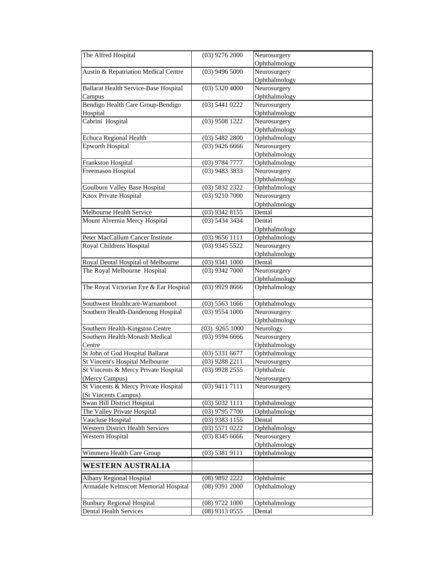| The Alfred Hospital                          | $(03)$ 9276 2000 | Neurosurgery  |
|----------------------------------------------|------------------|---------------|
|                                              |                  | Ophthalmology |
| Austin & Repatriation Medical Centre         | $(03)$ 9496 5000 | Neurosurgery  |
|                                              |                  | Ophthalmology |
| <b>Ballarat Health Service-Base Hospital</b> | $(03)$ 5320 4000 | Neurosurgery  |
| Campus                                       |                  | Ophthalmology |
| Bendigo Health Care Group-Bendigo            | $(03)$ 5441 0222 | Neurosurgery  |
| Hospital                                     |                  | Ophthalmology |
| Cabrini Hospital                             | $(03)$ 9508 1222 | Neurosurgery  |
|                                              |                  | Ophthalmology |
| <b>Echuca Regional Health</b>                | $(03)$ 5482 2800 | Ophthalmology |
| <b>Epworth Hospital</b>                      | $(03)$ 9426 6666 | Neurosurgery  |
|                                              |                  | Ophthalmology |
| Frankston Hospital                           | $(03)$ 9784 7777 | Ophthalmology |
| Freemason Hospital                           | $(03)$ 9483 3833 | Neurosurgery  |
|                                              |                  | Ophthalmology |
| Goulburn Valley Base Hospital                | (03) 5832 2322   | Ophthalmology |
| Knox Private Hospital                        | $(03)$ 9210 7000 | Neurosurgery  |
|                                              |                  | Ophthalmology |
| Melbourne Health Service                     | (03) 9342 8155   | Dental        |
| Mount Alvernia Mercy Hospital                | $(03)$ 5434 3434 | Dental        |
|                                              |                  | Ophthalmology |
| Peter MacCallum Cancer Institute             | $(03)$ 9656 1111 | Ophthalmology |
| Royal Childrens Hospital                     | $(03)$ 9345 5522 | Neurosurgery  |
|                                              |                  | Ophthalmology |
| Royal Dental Hospital of Melbourne           | $(03)$ 9341 1000 | Dental        |
| The Royal Melbourne Hospital                 | $(03)$ 9342 7000 | Neurosurgery  |
|                                              |                  | Ophthalmology |
| The Royal Victorian Eye & Ear Hospital       | $(03)$ 9929 8666 | Ophthalmology |
| Southwest Healthcare-Warnambool              | $(03)$ 5563 1666 | Ophthalmology |
| Southern Health-Dandenong Hospital           | $(03)$ 9554 1000 | Neurosurgery  |
|                                              |                  | Ophthalmology |
| Southern Health-Kingston Centre              | $(03)$ 9265 1000 | Neurology     |
| Southern Health-Monash Medical               | $(03)$ 9594 6666 | Neurosurgery  |
| Centre                                       |                  | Ophthalmology |
| St John of God Hospital Ballarat             | $(03)$ 5331 6677 | Ophthalmology |
| St Vincent's Hospital Melbourne              | $(03)$ 9288 2211 | Neurosurgery  |
| St Vincents & Mercy Private Hospital         | $(03)$ 9928 2555 | Ophthalmic    |
| (Mercy Campus)                               |                  | Neurosurgery  |
| St Vincents & Mercy Private Hospital         | $(03)$ 9411 7111 | Neurosurgery  |
| (St Vincents Campus)                         |                  |               |
| Swan Hill District Hospital                  | $(03)$ 5032 1111 | Ophthalmology |
| The Valley Private Hospital                  | $(03)$ 9795 7700 | Ophthalmology |
| Vaucluse Hospital                            | $(03)$ 9383 1155 | Dental        |
| Western District Health Services             | $(03)$ 5571 0222 | Ophthalmology |
| Western Hospital                             | $(03)$ 8345 6666 | Neurosurgery  |
|                                              |                  | Ophthalmology |
| Wimmera Health Care Group                    | $(03)$ 5381 9111 | Ophthalmology |
| <b>WESTERN AUSTRALIA</b>                     |                  |               |
| Albany Regional Hospital                     | (08) 9892 2222   | Ophthalmic    |
| Armadale Kelmscott Memorial Hospital         | $(08)$ 9391 2000 | Ophthalmology |
|                                              |                  |               |
| <b>Bunbury Regional Hospital</b>             | $(08)$ 9722 1000 | Ophthalmology |
| <b>Dental Health Services</b>                | $(08)$ 9313 0555 | Dental        |